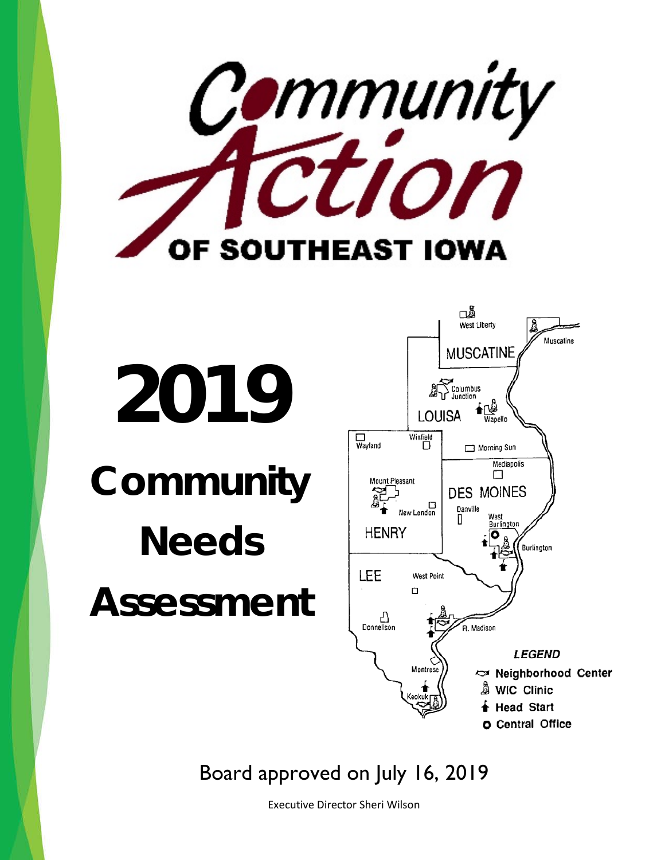

# **2019 Community Needs Assessment**



Board approved on July 16, 2019

Executive Director Sheri Wilson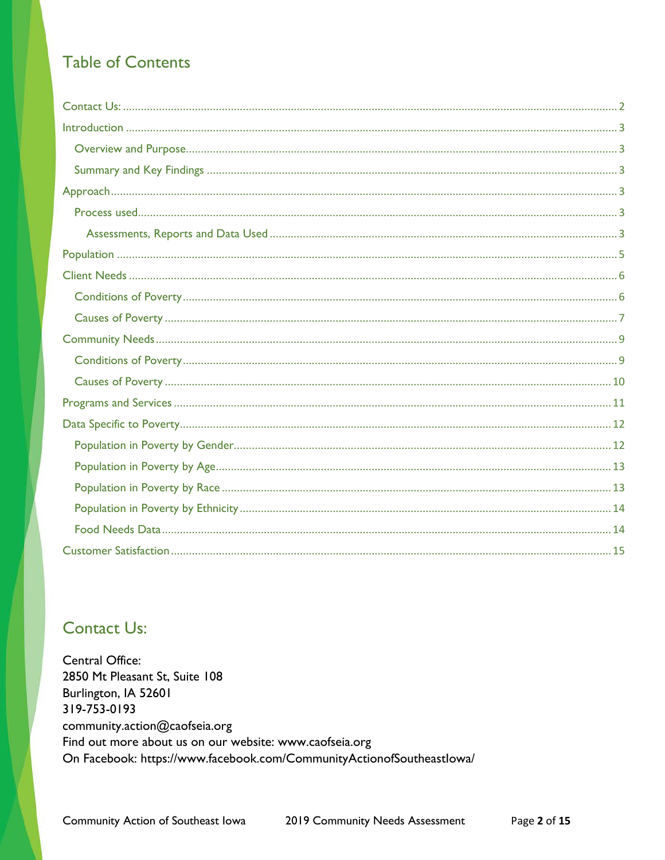# **Table of Contents**

# <span id="page-1-0"></span>**Contact Us:**

**Central Office:** 2850 Mt Pleasant St, Suite 108 Burlington, IA 52601 319-753-0193 community.action@caofseia.org Find out more about us on our website: www.caofseia.org On Facebook: https://www.facebook.com/CommunityActionofSoutheastlowa/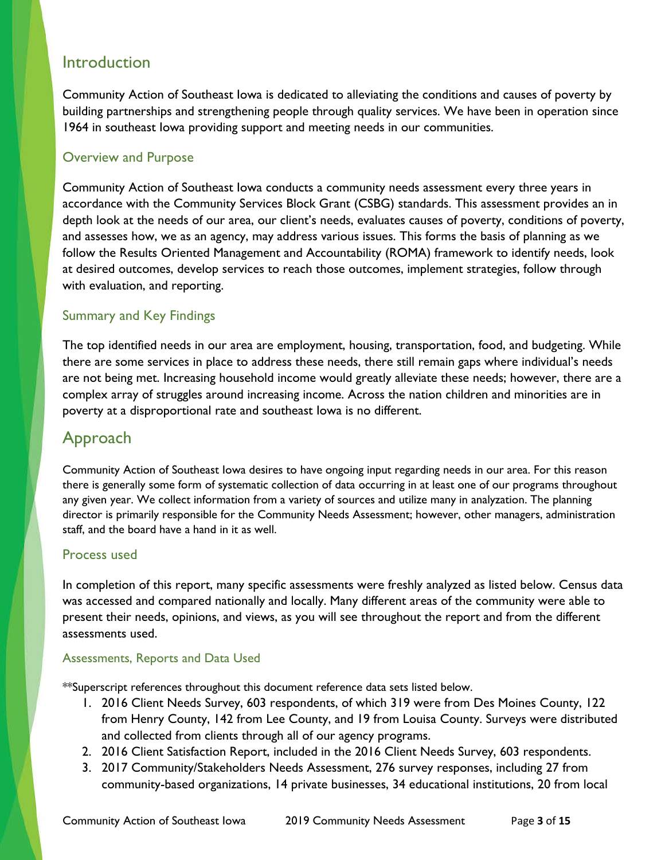# <span id="page-2-0"></span>Introduction

Community Action of Southeast Iowa is dedicated to alleviating the conditions and causes of poverty by building partnerships and strengthening people through quality services. We have been in operation since 1964 in southeast Iowa providing support and meeting needs in our communities.

## <span id="page-2-1"></span>Overview and Purpose

Community Action of Southeast Iowa conducts a community needs assessment every three years in accordance with the Community Services Block Grant (CSBG) standards. This assessment provides an in depth look at the needs of our area, our client's needs, evaluates causes of poverty, conditions of poverty, and assesses how, we as an agency, may address various issues. This forms the basis of planning as we follow the Results Oriented Management and Accountability (ROMA) framework to identify needs, look at desired outcomes, develop services to reach those outcomes, implement strategies, follow through with evaluation, and reporting.

## <span id="page-2-2"></span>Summary and Key Findings

The top identified needs in our area are employment, housing, transportation, food, and budgeting. While there are some services in place to address these needs, there still remain gaps where individual's needs are not being met. Increasing household income would greatly alleviate these needs; however, there are a complex array of struggles around increasing income. Across the nation children and minorities are in poverty at a disproportional rate and southeast Iowa is no different.

# <span id="page-2-3"></span>Approach

Community Action of Southeast Iowa desires to have ongoing input regarding needs in our area. For this reason there is generally some form of systematic collection of data occurring in at least one of our programs throughout any given year. We collect information from a variety of sources and utilize many in analyzation. The planning director is primarily responsible for the Community Needs Assessment; however, other managers, administration staff, and the board have a hand in it as well.

## <span id="page-2-4"></span>Process used

In completion of this report, many specific assessments were freshly analyzed as listed below. Census data was accessed and compared nationally and locally. Many different areas of the community were able to present their needs, opinions, and views, as you will see throughout the report and from the different assessments used.

## <span id="page-2-5"></span>Assessments, Reports and Data Used

\*\*Superscript references throughout this document reference data sets listed below.

- 1. 2016 Client Needs Survey, 603 respondents, of which 319 were from Des Moines County, 122 from Henry County, 142 from Lee County, and 19 from Louisa County. Surveys were distributed and collected from clients through all of our agency programs.
- 2. 2016 Client Satisfaction Report, included in the 2016 Client Needs Survey, 603 respondents.
- 3. 2017 Community/Stakeholders Needs Assessment, 276 survey responses, including 27 from community-based organizations, 14 private businesses, 34 educational institutions, 20 from local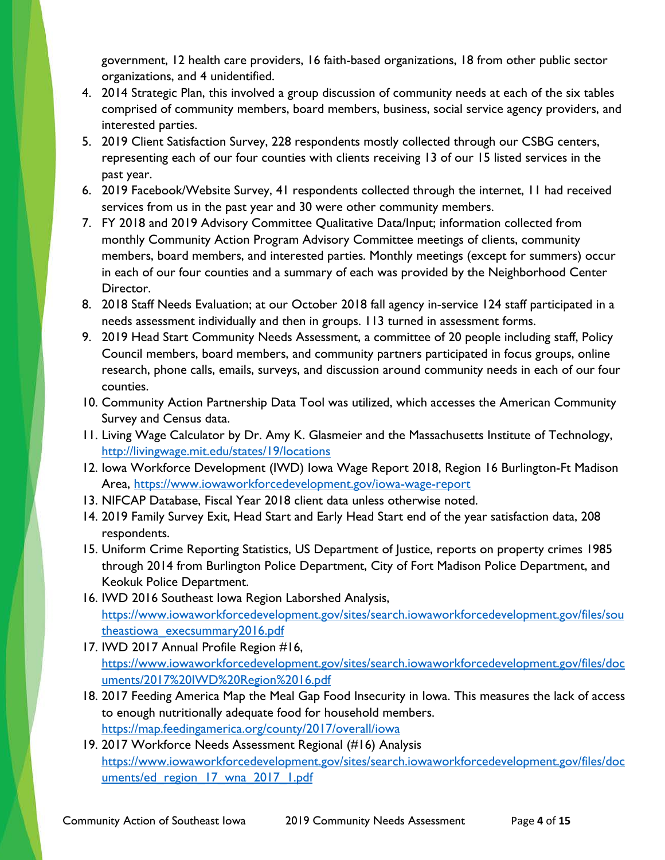government, 12 health care providers, 16 faith-based organizations, 18 from other public sector organizations, and 4 unidentified.

- 4. 2014 Strategic Plan, this involved a group discussion of community needs at each of the six tables comprised of community members, board members, business, social service agency providers, and interested parties.
- 5. 2019 Client Satisfaction Survey, 228 respondents mostly collected through our CSBG centers, representing each of our four counties with clients receiving 13 of our 15 listed services in the past year.
- 6. 2019 Facebook/Website Survey, 41 respondents collected through the internet, 11 had received services from us in the past year and 30 were other community members.
- 7. FY 2018 and 2019 Advisory Committee Qualitative Data/Input; information collected from monthly Community Action Program Advisory Committee meetings of clients, community members, board members, and interested parties. Monthly meetings (except for summers) occur in each of our four counties and a summary of each was provided by the Neighborhood Center Director.
- 8. 2018 Staff Needs Evaluation; at our October 2018 fall agency in-service 124 staff participated in a needs assessment individually and then in groups. 113 turned in assessment forms.
- 9. 2019 Head Start Community Needs Assessment, a committee of 20 people including staff, Policy Council members, board members, and community partners participated in focus groups, online research, phone calls, emails, surveys, and discussion around community needs in each of our four counties.
- 10. Community Action Partnership Data Tool was utilized, which accesses the American Community Survey and Census data.
- 11. Living Wage Calculator by Dr. Amy K. Glasmeier and the Massachusetts Institute of Technology, <http://livingwage.mit.edu/states/19/locations>
- 12. Iowa Workforce Development (IWD) Iowa Wage Report 2018, Region 16 Burlington-Ft Madison Area,<https://www.iowaworkforcedevelopment.gov/iowa-wage-report>
- 13. NIFCAP Database, Fiscal Year 2018 client data unless otherwise noted.
- 14. 2019 Family Survey Exit, Head Start and Early Head Start end of the year satisfaction data, 208 respondents.
- 15. Uniform Crime Reporting Statistics, US Department of Justice, reports on property crimes 1985 through 2014 from Burlington Police Department, City of Fort Madison Police Department, and Keokuk Police Department.
- 16. IWD 2016 Southeast Iowa Region Laborshed Analysis, [https://www.iowaworkforcedevelopment.gov/sites/search.iowaworkforcedevelopment.gov/files/sou](https://www.iowaworkforcedevelopment.gov/sites/search.iowaworkforcedevelopment.gov/files/southeastiowa_execsummary2016.pdf) [theastiowa\\_execsummary2016.pdf](https://www.iowaworkforcedevelopment.gov/sites/search.iowaworkforcedevelopment.gov/files/southeastiowa_execsummary2016.pdf)
- 17. IWD 2017 Annual Profile Region #16, [https://www.iowaworkforcedevelopment.gov/sites/search.iowaworkforcedevelopment.gov/files/doc](https://www.iowaworkforcedevelopment.gov/sites/search.iowaworkforcedevelopment.gov/files/documents/2017%20IWD%20Region%2016.pdf) [uments/2017%20IWD%20Region%2016.pdf](https://www.iowaworkforcedevelopment.gov/sites/search.iowaworkforcedevelopment.gov/files/documents/2017%20IWD%20Region%2016.pdf)
- 18. 2017 Feeding America Map the Meal Gap Food Insecurity in Iowa. This measures the lack of access to enough nutritionally adequate food for household members. <https://map.feedingamerica.org/county/2017/overall/iowa>
- 19. 2017 Workforce Needs Assessment Regional (#16) Analysis [https://www.iowaworkforcedevelopment.gov/sites/search.iowaworkforcedevelopment.gov/files/doc](https://www.iowaworkforcedevelopment.gov/sites/search.iowaworkforcedevelopment.gov/files/documents/ed_region_17_wna_2017_1.pdf) uments/ed region 17 wna 2017 1.pdf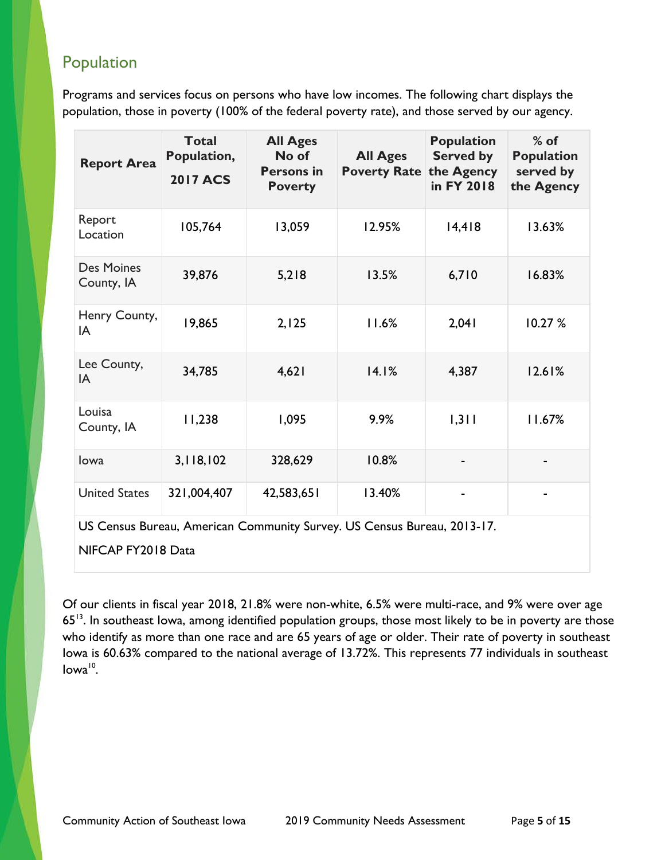# <span id="page-4-0"></span>Population

Programs and services focus on persons who have low incomes. The following chart displays the population, those in poverty (100% of the federal poverty rate), and those served by our agency.

| <b>Report Area</b>                                                      | <b>Total</b><br>Population,<br><b>2017 ACS</b> | <b>All Ages</b><br>No of<br><b>Persons in</b><br><b>Poverty</b> | <b>All Ages</b><br><b>Poverty Rate</b> | <b>Population</b><br><b>Served by</b><br>the Agency<br>in FY 2018 | $%$ of<br><b>Population</b><br>served by<br>the Agency |
|-------------------------------------------------------------------------|------------------------------------------------|-----------------------------------------------------------------|----------------------------------------|-------------------------------------------------------------------|--------------------------------------------------------|
| Report<br>Location                                                      | 105,764                                        | 13,059                                                          | 12.95%                                 | 14,418                                                            | 13.63%                                                 |
| <b>Des Moines</b><br>County, IA                                         | 39,876                                         | 5,218                                                           | 13.5%                                  | 6,710                                                             | 16.83%                                                 |
| Henry County,<br>IA                                                     | 19,865                                         | 2,125                                                           | 11.6%                                  | 2,041                                                             | 10.27%                                                 |
| Lee County,<br>IA                                                       | 34,785                                         | 4,621                                                           | 14.1%                                  | 4,387                                                             | 12.61%                                                 |
| Louisa<br>County, IA                                                    | 11,238                                         | 1,095                                                           | 9.9%                                   | 1,311                                                             | 11.67%                                                 |
| lowa                                                                    | 3,118,102                                      | 328,629                                                         | 10.8%                                  |                                                                   |                                                        |
| <b>United States</b>                                                    | 321,004,407                                    | 42,583,651                                                      | 13.40%                                 |                                                                   |                                                        |
| US Census Bureau, American Community Survey. US Census Bureau, 2013-17. |                                                |                                                                 |                                        |                                                                   |                                                        |

NIFCAP FY2018 Data

Of our clients in fiscal year 2018, 21.8% were non-white, 6.5% were multi-race, and 9% were over age 65<sup>13</sup>. In southeast Iowa, among identified population groups, those most likely to be in poverty are those who identify as more than one race and are 65 years of age or older. Their rate of poverty in southeast Iowa is 60.63% compared to the national average of 13.72%. This represents 77 individuals in southeast  $Iowa^{10}$ .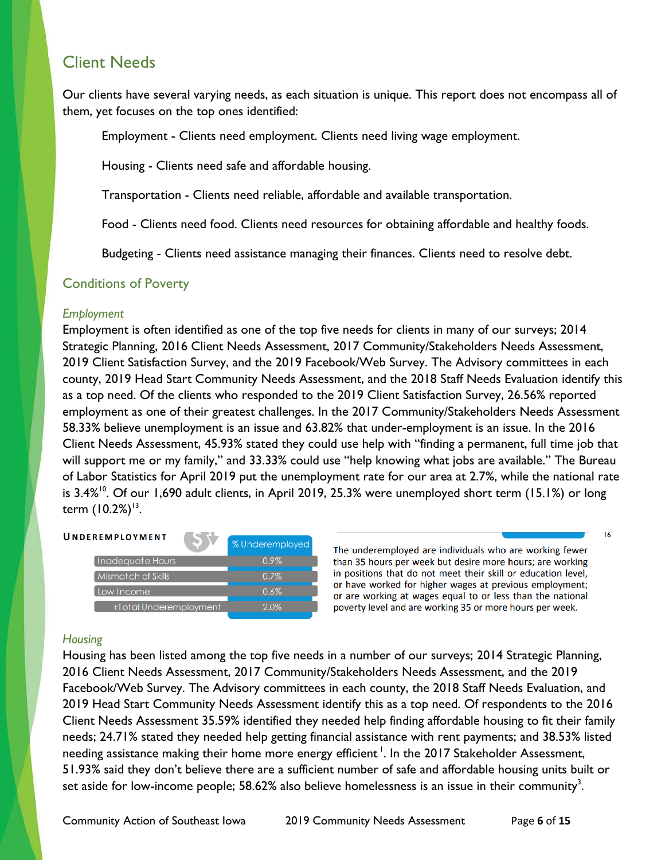# <span id="page-5-0"></span>Client Needs

Our clients have several varying needs, as each situation is unique. This report does not encompass all of them, yet focuses on the top ones identified:

Employment - Clients need employment. Clients need living wage employment.

Housing - Clients need safe and affordable housing.

Transportation - Clients need reliable, affordable and available transportation.

Food - Clients need food. Clients need resources for obtaining affordable and healthy foods.

Budgeting - Clients need assistance managing their finances. Clients need to resolve debt.

#### <span id="page-5-1"></span>Conditions of Poverty

#### *Employment*

Employment is often identified as one of the top five needs for clients in many of our surveys; 2014 Strategic Planning, 2016 Client Needs Assessment, 2017 Community/Stakeholders Needs Assessment, 2019 Client Satisfaction Survey, and the 2019 Facebook/Web Survey. The Advisory committees in each county, 2019 Head Start Community Needs Assessment, and the 2018 Staff Needs Evaluation identify this as a top need. Of the clients who responded to the 2019 Client Satisfaction Survey, 26.56% reported employment as one of their greatest challenges. In the 2017 Community/Stakeholders Needs Assessment 58.33% believe unemployment is an issue and 63.82% that under-employment is an issue. In the 2016 Client Needs Assessment, 45.93% stated they could use help with "finding a permanent, full time job that will support me or my family," and 33.33% could use "help knowing what jobs are available." The Bureau of Labor Statistics for April 2019 put the unemployment rate for our area at 2.7%, while the national rate is 3.4%<sup>10</sup>. Of our 1,690 adult clients, in April 2019, 25.3% were unemployed short term (15.1%) or long term  $(10.2\%)^{13}$ .



The underemployed are individuals who are working fewer than 35 hours per week but desire more hours; are working in positions that do not meet their skill or education level, or have worked for higher wages at previous employment; or are working at wages equal to or less than the national poverty level and are working 35 or more hours per week.

16

#### *Housing*

Housing has been listed among the top five needs in a number of our surveys; 2014 Strategic Planning, 2016 Client Needs Assessment, 2017 Community/Stakeholders Needs Assessment, and the 2019 Facebook/Web Survey. The Advisory committees in each county, the 2018 Staff Needs Evaluation, and 2019 Head Start Community Needs Assessment identify this as a top need. Of respondents to the 2016 Client Needs Assessment 35.59% identified they needed help finding affordable housing to fit their family needs; 24.71% stated they needed help getting financial assistance with rent payments; and 38.53% listed needing assistance making their home more energy efficient  $^{\mathsf{l}}.$  In the 2017 Stakeholder Assessment, 51.93% said they don't believe there are a sufficient number of safe and affordable housing units built or set aside for low-income people;  $58.62\%$  also believe homelessness is an issue in their community $^3.$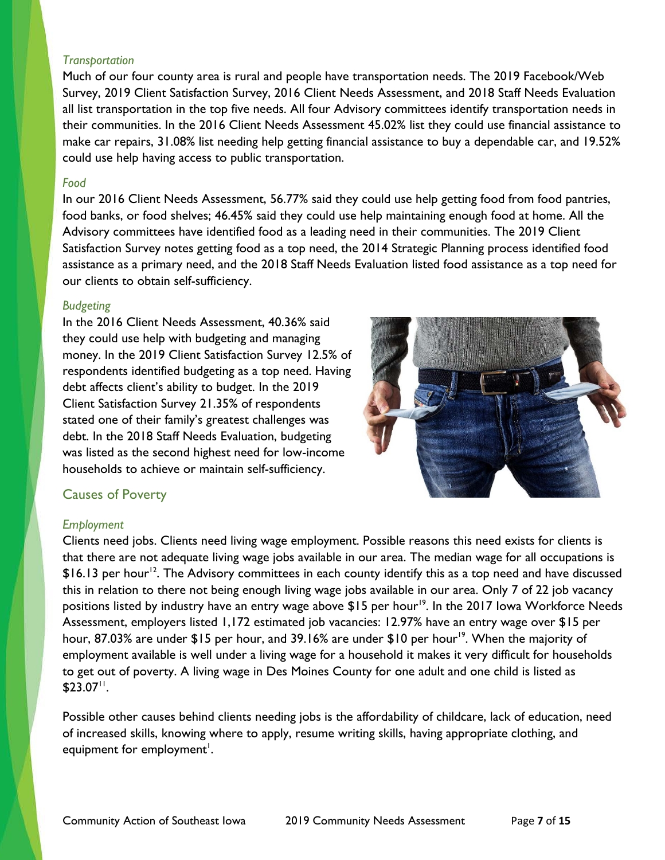#### *Transportation*

Much of our four county area is rural and people have transportation needs. The 2019 Facebook/Web Survey, 2019 Client Satisfaction Survey, 2016 Client Needs Assessment, and 2018 Staff Needs Evaluation all list transportation in the top five needs. All four Advisory committees identify transportation needs in their communities. In the 2016 Client Needs Assessment 45.02% list they could use financial assistance to make car repairs, 31.08% list needing help getting financial assistance to buy a dependable car, and 19.52% could use help having access to public transportation.

#### *Food*

In our 2016 Client Needs Assessment, 56.77% said they could use help getting food from food pantries, food banks, or food shelves; 46.45% said they could use help maintaining enough food at home. All the Advisory committees have identified food as a leading need in their communities. The 2019 Client Satisfaction Survey notes getting food as a top need, the 2014 Strategic Planning process identified food assistance as a primary need, and the 2018 Staff Needs Evaluation listed food assistance as a top need for our clients to obtain self-sufficiency.

#### *Budgeting*

In the 2016 Client Needs Assessment, 40.36% said they could use help with budgeting and managing money. In the 2019 Client Satisfaction Survey 12.5% of respondents identified budgeting as a top need. Having debt affects client's ability to budget. In the 2019 Client Satisfaction Survey 21.35% of respondents stated one of their family's greatest challenges was debt. In the 2018 Staff Needs Evaluation, budgeting was listed as the second highest need for low-income households to achieve or maintain self-sufficiency.



## <span id="page-6-0"></span>Causes of Poverty

#### *Employment*

Clients need jobs. Clients need living wage employment. Possible reasons this need exists for clients is that there are not adequate living wage jobs available in our area. The median wage for all occupations is  $\$16.13$  per hour<sup>12</sup>. The Advisory committees in each county identify this as a top need and have discussed this in relation to there not being enough living wage jobs available in our area. Only 7 of 22 job vacancy positions listed by industry have an entry wage above \$15 per hour<sup>19</sup>. In the 2017 Iowa Workforce Needs Assessment, employers listed 1,172 estimated job vacancies: 12.97% have an entry wage over \$15 per hour, 87.03% are under \$15 per hour, and 39.16% are under \$10 per hour<sup>19</sup>. When the majority of employment available is well under a living wage for a household it makes it very difficult for households to get out of poverty. A living wage in Des Moines County for one adult and one child is listed as  $$23.07$ <sup>11</sup>.

Possible other causes behind clients needing jobs is the affordability of childcare, lack of education, need of increased skills, knowing where to apply, resume writing skills, having appropriate clothing, and equipment for employment $^{\mathsf{I}}.$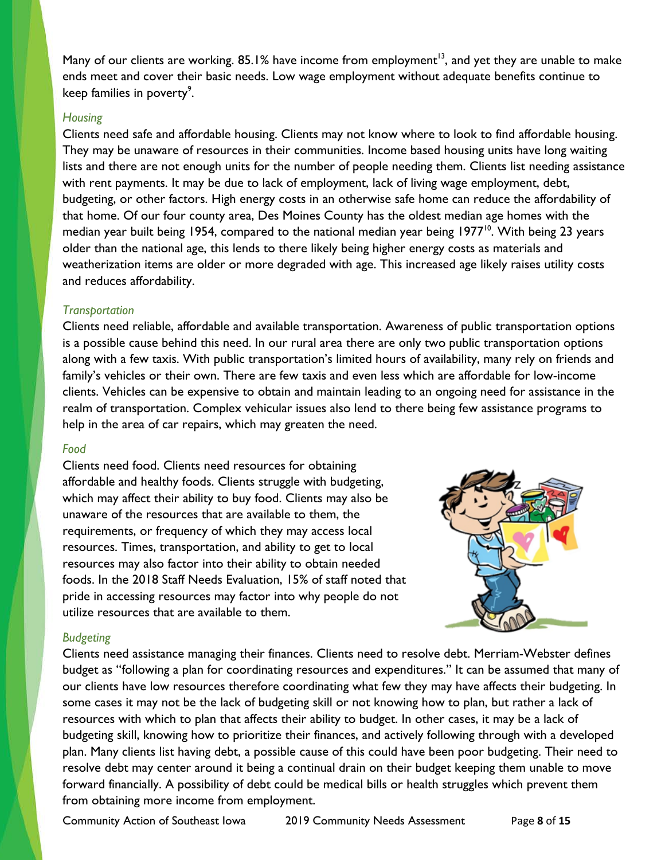Many of our clients are working.  $85.1\%$  have income from employment<sup>13</sup>, and yet they are unable to make ends meet and cover their basic needs. Low wage employment without adequate benefits continue to keep families in poverty<sup>9</sup>.

#### *Housing*

Clients need safe and affordable housing. Clients may not know where to look to find affordable housing. They may be unaware of resources in their communities. Income based housing units have long waiting lists and there are not enough units for the number of people needing them. Clients list needing assistance with rent payments. It may be due to lack of employment, lack of living wage employment, debt, budgeting, or other factors. High energy costs in an otherwise safe home can reduce the affordability of that home. Of our four county area, Des Moines County has the oldest median age homes with the median year built being 1954, compared to the national median year being 1977<sup>10</sup>. With being 23 years older than the national age, this lends to there likely being higher energy costs as materials and weatherization items are older or more degraded with age. This increased age likely raises utility costs and reduces affordability.

#### *Transportation*

Clients need reliable, affordable and available transportation. Awareness of public transportation options is a possible cause behind this need. In our rural area there are only two public transportation options along with a few taxis. With public transportation's limited hours of availability, many rely on friends and family's vehicles or their own. There are few taxis and even less which are affordable for low-income clients. Vehicles can be expensive to obtain and maintain leading to an ongoing need for assistance in the realm of transportation. Complex vehicular issues also lend to there being few assistance programs to help in the area of car repairs, which may greaten the need.

#### *Food*

Clients need food. Clients need resources for obtaining affordable and healthy foods. Clients struggle with budgeting, which may affect their ability to buy food. Clients may also be unaware of the resources that are available to them, the requirements, or frequency of which they may access local resources. Times, transportation, and ability to get to local resources may also factor into their ability to obtain needed foods. In the 2018 Staff Needs Evaluation, 15% of staff noted that pride in accessing resources may factor into why people do not utilize resources that are available to them.



## *Budgeting*

Clients need assistance managing their finances. Clients need to resolve debt. Merriam-Webster defines budget as "following a plan for coordinating resources and expenditures." It can be assumed that many of our clients have low resources therefore coordinating what few they may have affects their budgeting. In some cases it may not be the lack of budgeting skill or not knowing how to plan, but rather a lack of resources with which to plan that affects their ability to budget. In other cases, it may be a lack of budgeting skill, knowing how to prioritize their finances, and actively following through with a developed plan. Many clients list having debt, a possible cause of this could have been poor budgeting. Their need to resolve debt may center around it being a continual drain on their budget keeping them unable to move forward financially. A possibility of debt could be medical bills or health struggles which prevent them from obtaining more income from employment.

Community Action of Southeast Iowa 2019 Community Needs Assessment Page **8** of **15**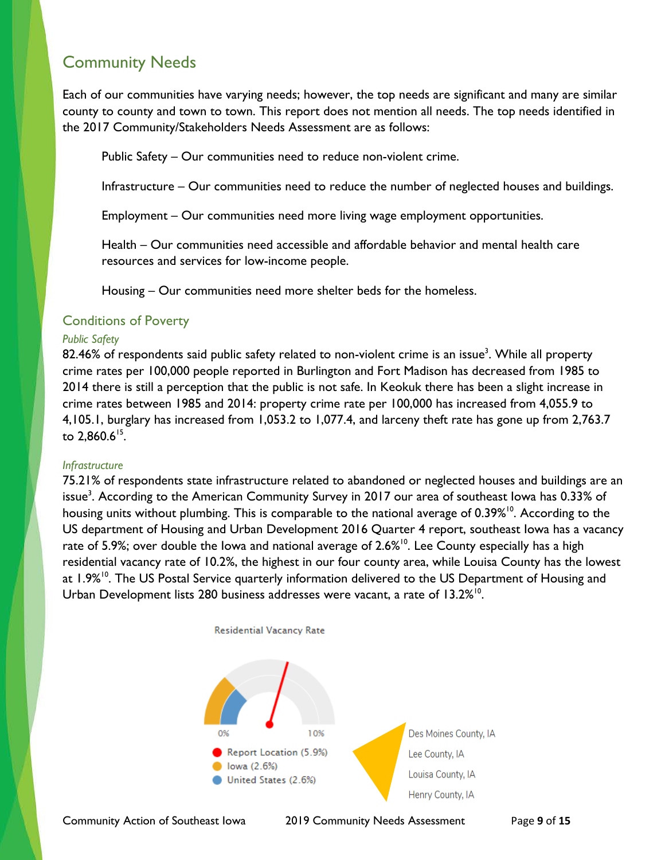# <span id="page-8-0"></span>Community Needs

Each of our communities have varying needs; however, the top needs are significant and many are similar county to county and town to town. This report does not mention all needs. The top needs identified in the 2017 Community/Stakeholders Needs Assessment are as follows:

Public Safety – Our communities need to reduce non-violent crime.

Infrastructure – Our communities need to reduce the number of neglected houses and buildings.

Employment – Our communities need more living wage employment opportunities.

Health – Our communities need accessible and affordable behavior and mental health care resources and services for low-income people.

Housing – Our communities need more shelter beds for the homeless.

#### <span id="page-8-1"></span>Conditions of Poverty

#### *Public Safety*

 $82.46\%$  of respondents said public safety related to non-violent crime is an issue $^3$ . While all property crime rates per 100,000 people reported in Burlington and Fort Madison has decreased from 1985 to 2014 there is still a perception that the public is not safe. In Keokuk there has been a slight increase in crime rates between 1985 and 2014: property crime rate per 100,000 has increased from 4,055.9 to 4,105.1, burglary has increased from 1,053.2 to 1,077.4, and larceny theft rate has gone up from 2,763.7 to  $2,860.6^{15}$ .

#### *Infrastructure*

75.21% of respondents state infrastructure related to abandoned or neglected houses and buildings are an issue<sup>3</sup>. According to the American Community Survey in 2017 our area of southeast Iowa has 0.33% of housing units without plumbing. This is comparable to the national average of 0.39%<sup>10</sup>. According to the US department of Housing and Urban Development 2016 Quarter 4 report, southeast Iowa has a vacancy rate of 5.9%; over double the Iowa and national average of 2.6%<sup>10</sup>. Lee County especially has a high residential vacancy rate of 10.2%, the highest in our four county area, while Louisa County has the lowest at 1.9%<sup>10</sup>. The US Postal Service quarterly information delivered to the US Department of Housing and Urban Development lists 280 business addresses were vacant, a rate of 13.2%<sup>10</sup>.



Community Action of Southeast Iowa 2019 Community Needs Assessment Page **9** of **15**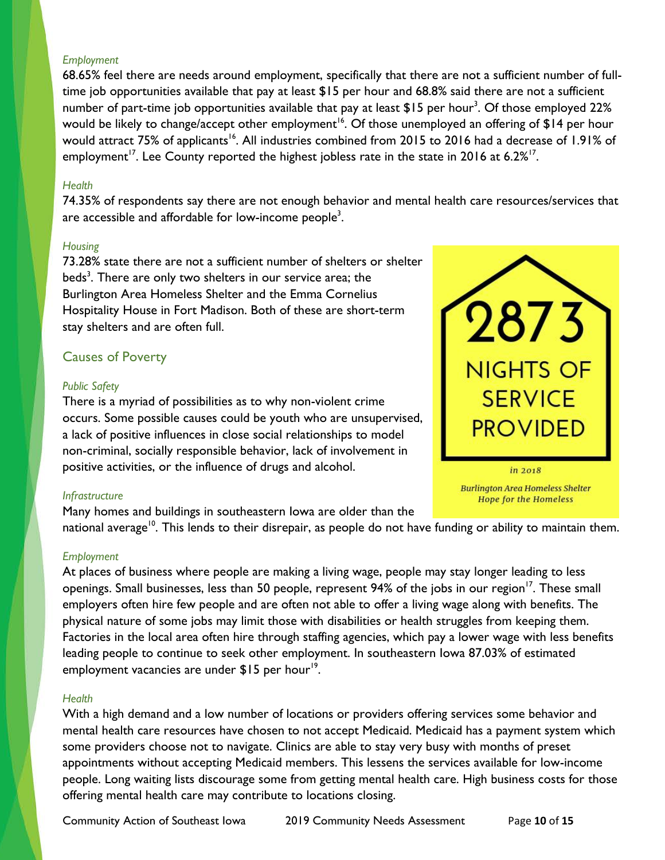#### *Employment*

68.65% feel there are needs around employment, specifically that there are not a sufficient number of fulltime job opportunities available that pay at least \$15 per hour and 68.8% said there are not a sufficient number of part-time job opportunities available that pay at least  $\$15$  per hour $^3$ . Of those employed 22% would be likely to change/accept other employment<sup>16</sup>. Of those unemployed an offering of \$14 per hour would attract 75% of applicants<sup>16</sup>. All industries combined from 2015 to 2016 had a decrease of 1.91% of employment<sup>17</sup>. Lee County reported the highest jobless rate in the state in 2016 at 6.2%<sup>17</sup>.

#### *Health*

74.35% of respondents say there are not enough behavior and mental health care resources/services that are accessible and affordable for low-income people $^3\!$ 

#### *Housing*

73.28% state there are not a sufficient number of shelters or shelter beds<sup>3</sup>. There are only two shelters in our service area; the Burlington Area Homeless Shelter and the Emma Cornelius Hospitality House in Fort Madison. Both of these are short-term stay shelters and are often full.

## <span id="page-9-0"></span>Causes of Poverty

#### *Public Safety*

There is a myriad of possibilities as to why non-violent crime occurs. Some possible causes could be youth who are unsupervised, a lack of positive influences in close social relationships to model non-criminal, socially responsible behavior, lack of involvement in positive activities, or the influence of drugs and alcohol.

# *Infrastructure*

Many homes and buildings in southeastern Iowa are older than the national average<sup>10</sup>. This lends to their disrepair, as people do not have funding or ability to maintain them.

#### *Employment*

At places of business where people are making a living wage, people may stay longer leading to less openings. Small businesses, less than 50 people, represent 94% of the jobs in our region<sup>17</sup>. These small employers often hire few people and are often not able to offer a living wage along with benefits. The physical nature of some jobs may limit those with disabilities or health struggles from keeping them. Factories in the local area often hire through staffing agencies, which pay a lower wage with less benefits leading people to continue to seek other employment. In southeastern Iowa 87.03% of estimated employment vacancies are under  $$15$  per hour<sup>19</sup>.

#### *Health*

With a high demand and a low number of locations or providers offering services some behavior and mental health care resources have chosen to not accept Medicaid. Medicaid has a payment system which some providers choose not to navigate. Clinics are able to stay very busy with months of preset appointments without accepting Medicaid members. This lessens the services available for low-income people. Long waiting lists discourage some from getting mental health care. High business costs for those offering mental health care may contribute to locations closing.



**Burlington Area Homeless Shelter Hope for the Homeless**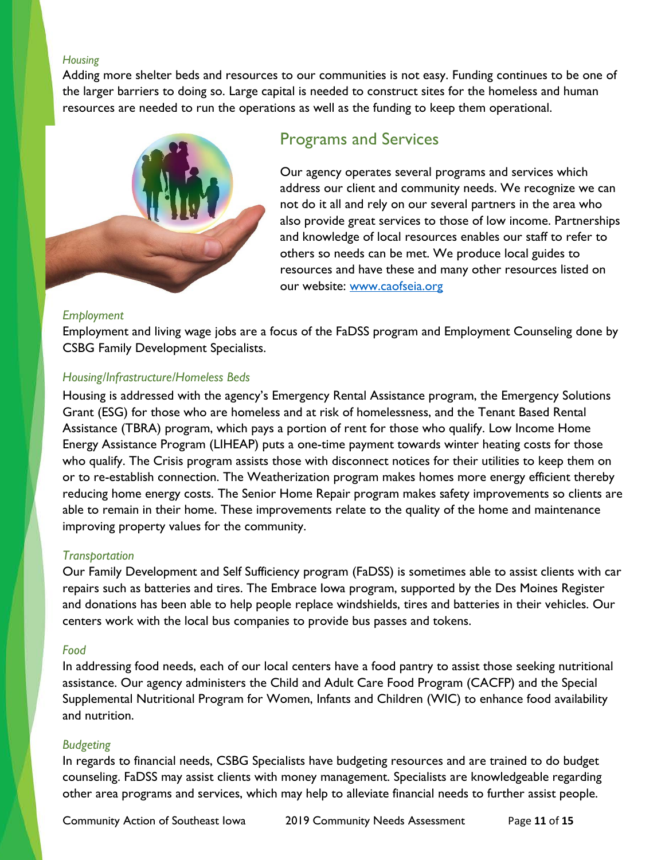#### *Housing*

Adding more shelter beds and resources to our communities is not easy. Funding continues to be one of the larger barriers to doing so. Large capital is needed to construct sites for the homeless and human resources are needed to run the operations as well as the funding to keep them operational.



# <span id="page-10-0"></span>Programs and Services

Our agency operates several programs and services which address our client and community needs. We recognize we can not do it all and rely on our several partners in the area who also provide great services to those of low income. Partnerships and knowledge of local resources enables our staff to refer to others so needs can be met. We produce local guides to resources and have these and many other resources listed on our website: [www.caofseia.org](http://www.caofseia.org/)

#### *Employment*

Employment and living wage jobs are a focus of the FaDSS program and Employment Counseling done by CSBG Family Development Specialists.

#### *Housing/Infrastructure/Homeless Beds*

Housing is addressed with the agency's Emergency Rental Assistance program, the Emergency Solutions Grant (ESG) for those who are homeless and at risk of homelessness, and the Tenant Based Rental Assistance (TBRA) program, which pays a portion of rent for those who qualify. Low Income Home Energy Assistance Program (LIHEAP) puts a one-time payment towards winter heating costs for those who qualify. The Crisis program assists those with disconnect notices for their utilities to keep them on or to re-establish connection. The Weatherization program makes homes more energy efficient thereby reducing home energy costs. The Senior Home Repair program makes safety improvements so clients are able to remain in their home. These improvements relate to the quality of the home and maintenance improving property values for the community.

## *Transportation*

Our Family Development and Self Sufficiency program (FaDSS) is sometimes able to assist clients with car repairs such as batteries and tires. The Embrace Iowa program, supported by the Des Moines Register and donations has been able to help people replace windshields, tires and batteries in their vehicles. Our centers work with the local bus companies to provide bus passes and tokens.

#### *Food*

In addressing food needs, each of our local centers have a food pantry to assist those seeking nutritional assistance. Our agency administers the Child and Adult Care Food Program (CACFP) and the Special Supplemental Nutritional Program for Women, Infants and Children (WIC) to enhance food availability and nutrition.

#### *Budgeting*

In regards to financial needs, CSBG Specialists have budgeting resources and are trained to do budget counseling. FaDSS may assist clients with money management. Specialists are knowledgeable regarding other area programs and services, which may help to alleviate financial needs to further assist people.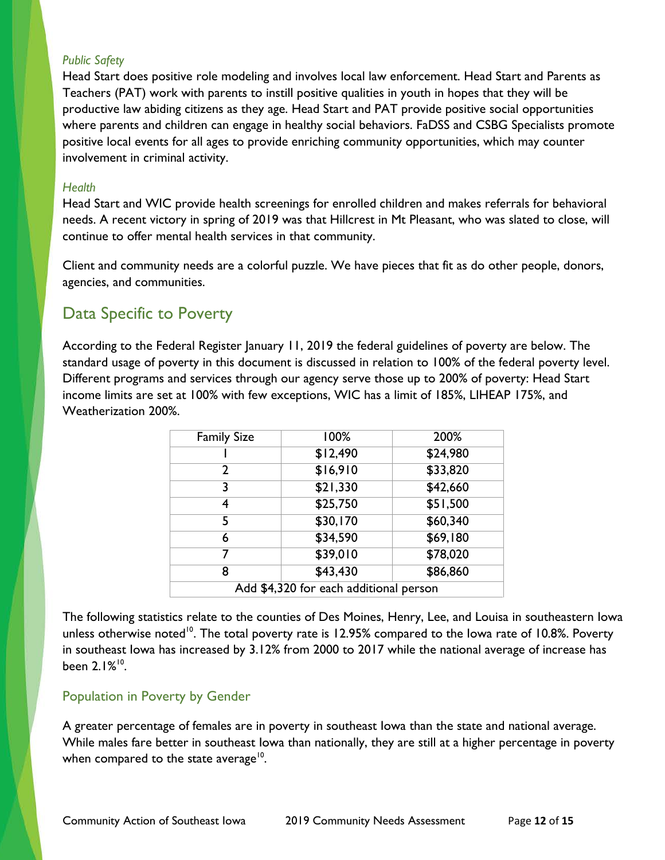#### *Public Safety*

Head Start does positive role modeling and involves local law enforcement. Head Start and Parents as Teachers (PAT) work with parents to instill positive qualities in youth in hopes that they will be productive law abiding citizens as they age. Head Start and PAT provide positive social opportunities where parents and children can engage in healthy social behaviors. FaDSS and CSBG Specialists promote positive local events for all ages to provide enriching community opportunities, which may counter involvement in criminal activity.

#### *Health*

Head Start and WIC provide health screenings for enrolled children and makes referrals for behavioral needs. A recent victory in spring of 2019 was that Hillcrest in Mt Pleasant, who was slated to close, will continue to offer mental health services in that community.

Client and community needs are a colorful puzzle. We have pieces that fit as do other people, donors, agencies, and communities.

# <span id="page-11-0"></span>Data Specific to Poverty

According to the Federal Register January 11, 2019 the federal guidelines of poverty are below. The standard usage of poverty in this document is discussed in relation to 100% of the federal poverty level. Different programs and services through our agency serve those up to 200% of poverty: Head Start income limits are set at 100% with few exceptions, WIC has a limit of 185%, LIHEAP 175%, and Weatherization 200%.

| <b>Family Size</b>                     | 100%     | 200%     |  |
|----------------------------------------|----------|----------|--|
|                                        | \$12,490 | \$24,980 |  |
| 2                                      | \$16,910 | \$33,820 |  |
| 3                                      | \$21,330 | \$42,660 |  |
| 4                                      | \$25,750 | \$51,500 |  |
| 5                                      | \$30,170 | \$60,340 |  |
| 6                                      | \$34,590 | \$69,180 |  |
| 7                                      | \$39,010 | \$78,020 |  |
| 8                                      | \$43,430 | \$86,860 |  |
| Add \$4,320 for each additional person |          |          |  |

The following statistics relate to the counties of Des Moines, Henry, Lee, and Louisa in southeastern Iowa unless otherwise noted<sup>10</sup>. The total poverty rate is 12.95% compared to the lowa rate of 10.8%. Poverty in southeast Iowa has increased by 3.12% from 2000 to 2017 while the national average of increase has been 2.1%10.

## <span id="page-11-1"></span>Population in Poverty by Gender

A greater percentage of females are in poverty in southeast Iowa than the state and national average. While males fare better in southeast Iowa than nationally, they are still at a higher percentage in poverty when compared to the state average<sup>10</sup>.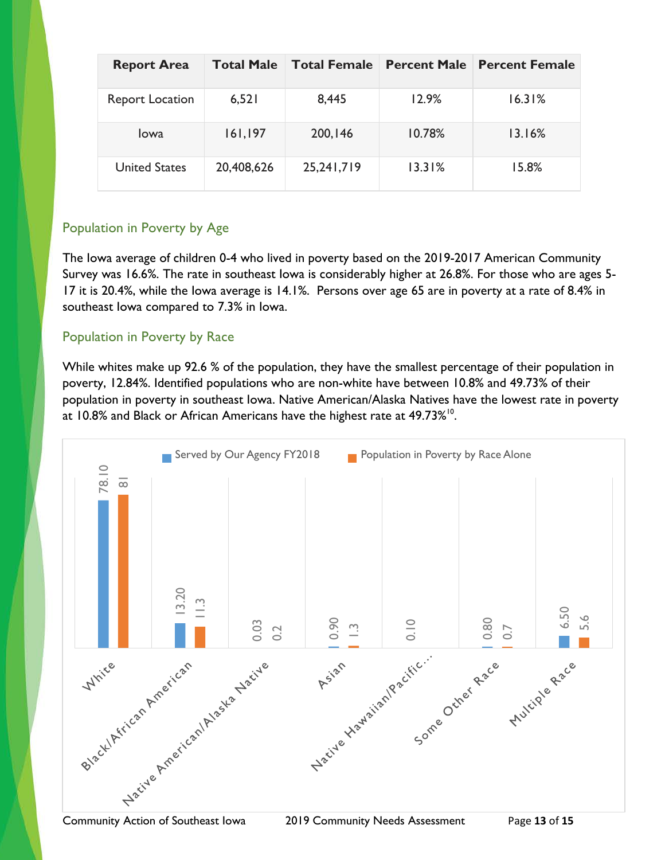| <b>Report Area</b>     | <b>Total Male</b> | <b>Total Female</b> | <b>Percent Male</b> | <b>Percent Female</b> |
|------------------------|-------------------|---------------------|---------------------|-----------------------|
| <b>Report Location</b> | 6,521             | 8,445               | 12.9%               | 16.31%                |
| <b>lowa</b>            | 161, 197          | 200, 146            | 10.78%              | 13.16%                |
| <b>United States</b>   | 20,408,626        | 25,241,719          | 13.31%              | 15.8%                 |

# <span id="page-12-0"></span>Population in Poverty by Age

The Iowa average of children 0-4 who lived in poverty based on the 2019-2017 American Community Survey was 16.6%. The rate in southeast Iowa is considerably higher at 26.8%. For those who are ages 5- 17 it is 20.4%, while the Iowa average is 14.1%. Persons over age 65 are in poverty at a rate of 8.4% in southeast Iowa compared to 7.3% in Iowa.

# <span id="page-12-1"></span>Population in Poverty by Race

While whites make up 92.6 % of the population, they have the smallest percentage of their population in poverty, 12.84%. Identified populations who are non-white have between 10.8% and 49.73% of their population in poverty in southeast Iowa. Native American/Alaska Natives have the lowest rate in poverty at 10.8% and Black or African Americans have the highest rate at 49.73%<sup>10</sup>.

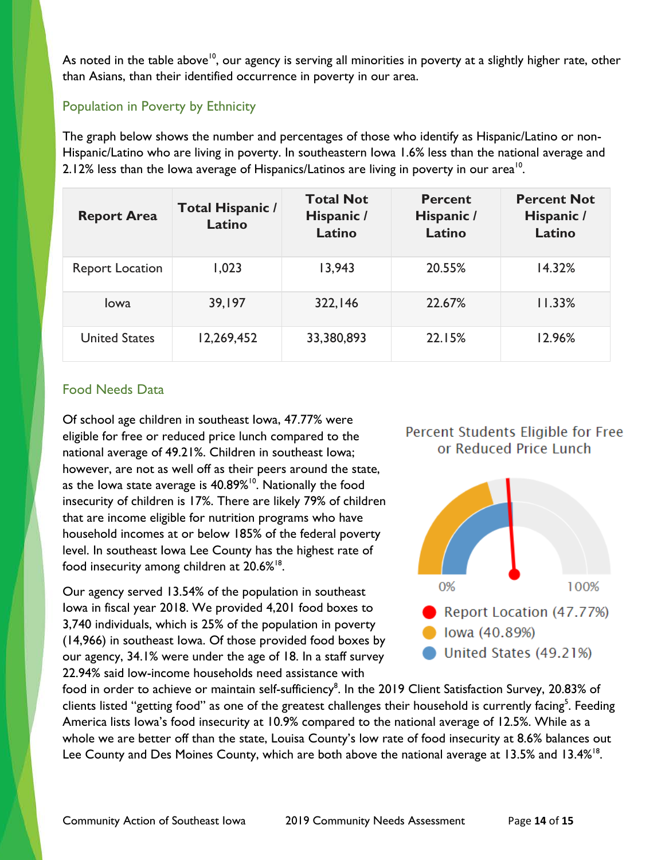As noted in the table above<sup>10</sup>, our agency is serving all minorities in poverty at a slightly higher rate, other than Asians, than their identified occurrence in poverty in our area.

# <span id="page-13-0"></span>Population in Poverty by Ethnicity

The graph below shows the number and percentages of those who identify as Hispanic/Latino or non-Hispanic/Latino who are living in poverty. In southeastern Iowa 1.6% less than the national average and 2.12% less than the Iowa average of Hispanics/Latinos are living in poverty in our area<sup>10</sup>.

| <b>Report Area</b>     | Total Hispanic /<br>Latino | <b>Total Not</b><br>Hispanic /<br>Latino | <b>Percent</b><br>Hispanic /<br>Latino | <b>Percent Not</b><br>Hispanic /<br>Latino |
|------------------------|----------------------------|------------------------------------------|----------------------------------------|--------------------------------------------|
| <b>Report Location</b> | 1,023                      | 13,943                                   | 20.55%                                 | 14.32%                                     |
| Iowa                   | 39,197                     | 322,146                                  | 22.67%                                 | 11.33%                                     |
| <b>United States</b>   | 12,269,452                 | 33,380,893                               | 22.15%                                 | 12.96%                                     |

## <span id="page-13-1"></span>Food Needs Data

Of school age children in southeast Iowa, 47.77% were eligible for free or reduced price lunch compared to the national average of 49.21%. Children in southeast Iowa; however, are not as well off as their peers around the state, as the lowa state average is  $40.89\%$ <sup>10</sup>. Nationally the food insecurity of children is 17%. There are likely 79% of children that are income eligible for nutrition programs who have household incomes at or below 185% of the federal poverty level. In southeast Iowa Lee County has the highest rate of food insecurity among children at  $20.6\%$ <sup>18</sup>.

Our agency served 13.54% of the population in southeast Iowa in fiscal year 2018. We provided 4,201 food boxes to 3,740 individuals, which is 25% of the population in poverty (14,966) in southeast Iowa. Of those provided food boxes by our agency, 34.1% were under the age of 18. In a staff survey 22.94% said low-income households need assistance with

# Percent Students Eligible for Free or Reduced Price Lunch



food in order to achieve or maintain self-sufficiency<sup>8</sup>. In the 2019 Client Satisfaction Survey, 20.83% of clients listed "getting food" as one of the greatest challenges their household is currently facing<sup>5</sup>. Feeding America lists Iowa's food insecurity at 10.9% compared to the national average of 12.5%. While as a whole we are better off than the state, Louisa County's low rate of food insecurity at 8.6% balances out Lee County and Des Moines County, which are both above the national average at 13.5% and 13.4%<sup>18</sup>.